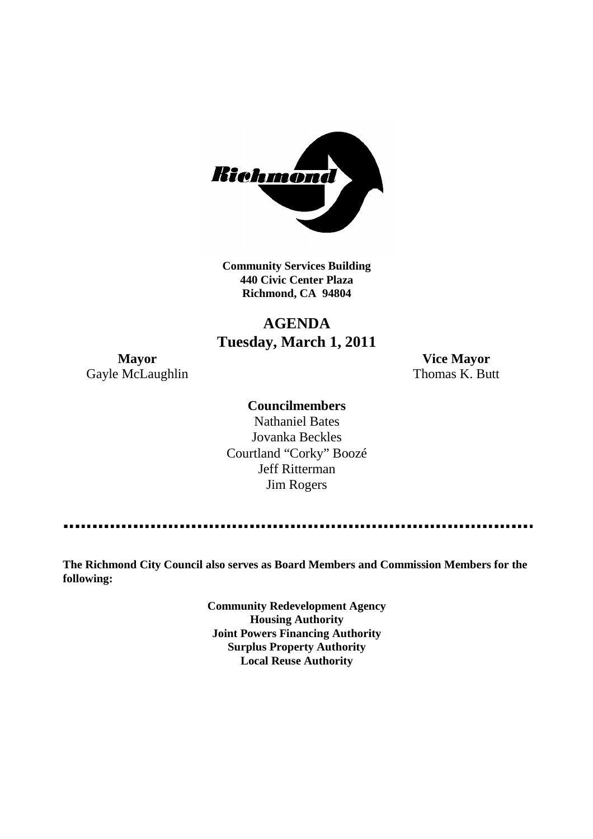

**Community Services Building 440 Civic Center Plaza Richmond, CA 94804**

# **AGENDA Tuesday, March 1, 2011**

**Mayor Vice Mayor** Gayle McLaughlin Thomas K. Butt

# **Councilmembers**

Nathaniel Bates Jovanka Beckles Courtland "Corky" Boozé Jeff Ritterman Jim Rogers

**The Richmond City Council also serves as Board Members and Commission Members for the following:**

> **Community Redevelopment Agency Housing Authority Joint Powers Financing Authority Surplus Property Authority Local Reuse Authority**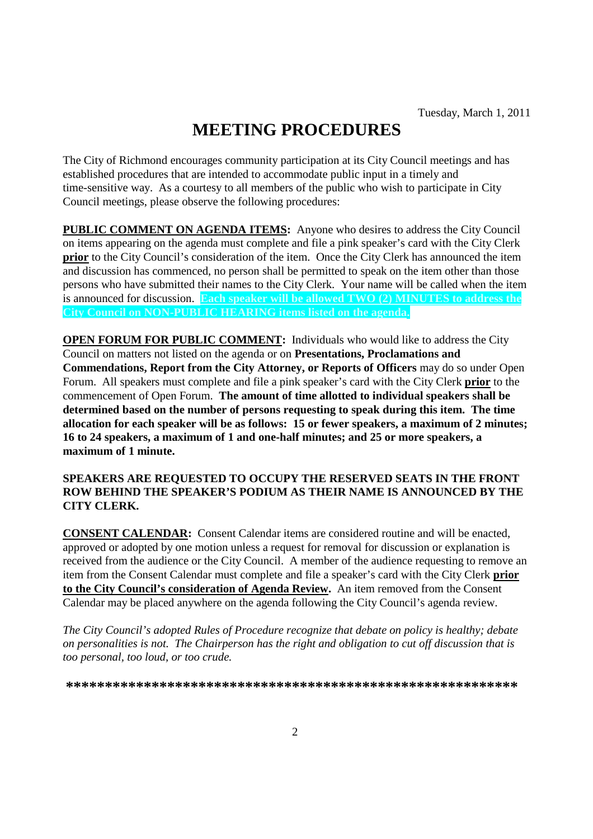# **MEETING PROCEDURES**

The City of Richmond encourages community participation at its City Council meetings and has established procedures that are intended to accommodate public input in a timely and time-sensitive way. As a courtesy to all members of the public who wish to participate in City Council meetings, please observe the following procedures:

**PUBLIC COMMENT ON AGENDA ITEMS:** Anyone who desires to address the City Council on items appearing on the agenda must complete and file a pink speaker's card with the City Clerk **prior** to the City Council's consideration of the item. Once the City Clerk has announced the item and discussion has commenced, no person shall be permitted to speak on the item other than those persons who have submitted their names to the City Clerk. Your name will be called when the item is announced for discussion. **Each speaker will be allowed TWO (2) MINUTES to address the City Council on NON-PUBLIC HEARING items listed on the agenda.**

**OPEN FORUM FOR PUBLIC COMMENT:** Individuals who would like to address the City Council on matters not listed on the agenda or on **Presentations, Proclamations and Commendations, Report from the City Attorney, or Reports of Officers** may do so under Open Forum. All speakers must complete and file a pink speaker's card with the City Clerk **prior** to the commencement of Open Forum. **The amount of time allotted to individual speakers shall be determined based on the number of persons requesting to speak during this item. The time allocation for each speaker will be as follows: 15 or fewer speakers, a maximum of 2 minutes; 16 to 24 speakers, a maximum of 1 and one-half minutes; and 25 or more speakers, a maximum of 1 minute.**

#### **SPEAKERS ARE REQUESTED TO OCCUPY THE RESERVED SEATS IN THE FRONT ROW BEHIND THE SPEAKER'S PODIUM AS THEIR NAME IS ANNOUNCED BY THE CITY CLERK.**

**CONSENT CALENDAR:** Consent Calendar items are considered routine and will be enacted, approved or adopted by one motion unless a request for removal for discussion or explanation is received from the audience or the City Council. A member of the audience requesting to remove an item from the Consent Calendar must complete and file a speaker's card with the City Clerk **prior to the City Council's consideration of Agenda Review.** An item removed from the Consent Calendar may be placed anywhere on the agenda following the City Council's agenda review.

*The City Council's adopted Rules of Procedure recognize that debate on policy is healthy; debate on personalities is not. The Chairperson has the right and obligation to cut off discussion that is too personal, too loud, or too crude.*

**\*\*\*\*\*\*\*\*\*\*\*\*\*\*\*\*\*\*\*\*\*\*\*\*\*\*\*\*\*\*\*\*\*\*\*\*\*\*\*\*\*\*\*\*\*\*\*\*\*\*\*\*\*\*\*\*\*\***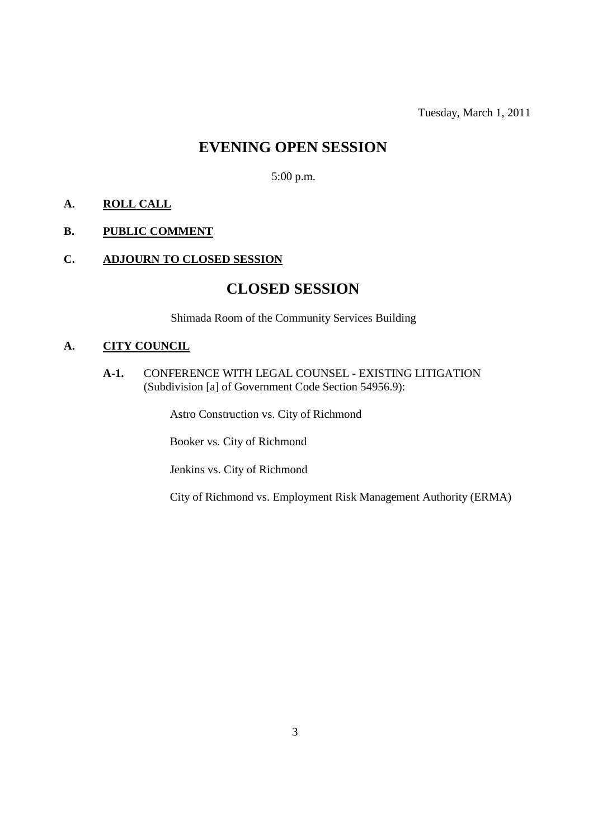Tuesday, March 1, 2011

# **EVENING OPEN SESSION**

5:00 p.m.

# **A. ROLL CALL**

## **B. PUBLIC COMMENT**

# **C. ADJOURN TO CLOSED SESSION**

# **CLOSED SESSION**

Shimada Room of the Community Services Building

## **A. CITY COUNCIL**

**A-1.** CONFERENCE WITH LEGAL COUNSEL - EXISTING LITIGATION (Subdivision [a] of Government Code Section 54956.9):

Astro Construction vs. City of Richmond

Booker vs. City of Richmond

Jenkins vs. City of Richmond

City of Richmond vs. Employment Risk Management Authority (ERMA)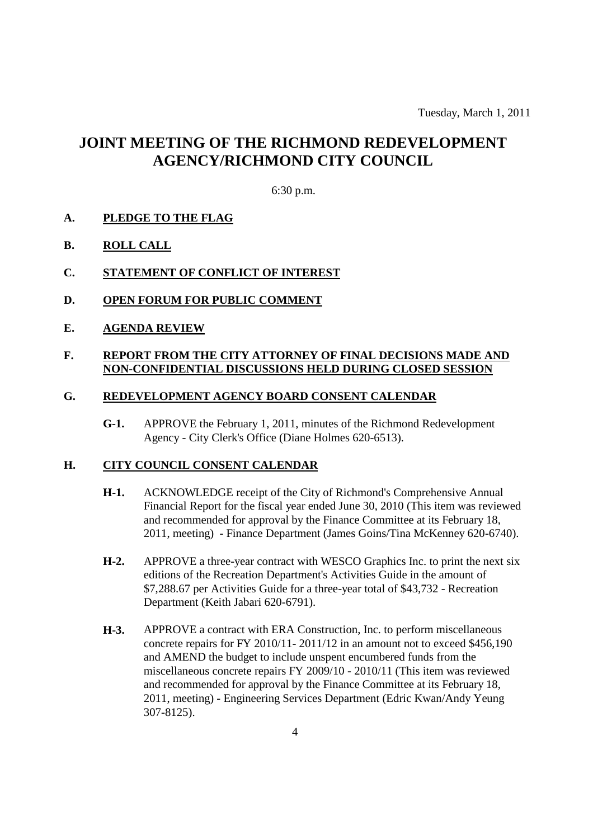# **JOINT MEETING OF THE RICHMOND REDEVELOPMENT AGENCY/RICHMOND CITY COUNCIL**

#### 6:30 p.m.

#### **A. PLEDGE TO THE FLAG**

**B. ROLL CALL**

#### **C. STATEMENT OF CONFLICT OF INTEREST**

- **D. OPEN FORUM FOR PUBLIC COMMENT**
- **E. AGENDA REVIEW**

#### **F. REPORT FROM THE CITY ATTORNEY OF FINAL DECISIONS MADE AND NON-CONFIDENTIAL DISCUSSIONS HELD DURING CLOSED SESSION**

#### **G. REDEVELOPMENT AGENCY BOARD CONSENT CALENDAR**

**G-1.** APPROVE the February 1, 2011, minutes of the Richmond Redevelopment Agency - City Clerk's Office (Diane Holmes 620-6513).

#### **H. CITY COUNCIL CONSENT CALENDAR**

- **H-1.** ACKNOWLEDGE receipt of the City of Richmond's Comprehensive Annual Financial Report for the fiscal year ended June 30, 2010 (This item was reviewed and recommended for approval by the Finance Committee at its February 18, 2011, meeting) - Finance Department (James Goins/Tina McKenney 620-6740).
- **H-2.** APPROVE a three-year contract with WESCO Graphics Inc. to print the next six editions of the Recreation Department's Activities Guide in the amount of \$7,288.67 per Activities Guide for a three-year total of \$43,732 - Recreation Department (Keith Jabari 620-6791).
- **H-3.** APPROVE a contract with ERA Construction, Inc. to perform miscellaneous concrete repairs for FY 2010/11- 2011/12 in an amount not to exceed \$456,190 and AMEND the budget to include unspent encumbered funds from the miscellaneous concrete repairs FY 2009/10 - 2010/11 (This item was reviewed and recommended for approval by the Finance Committee at its February 18, 2011, meeting) - Engineering Services Department (Edric Kwan/Andy Yeung 307-8125).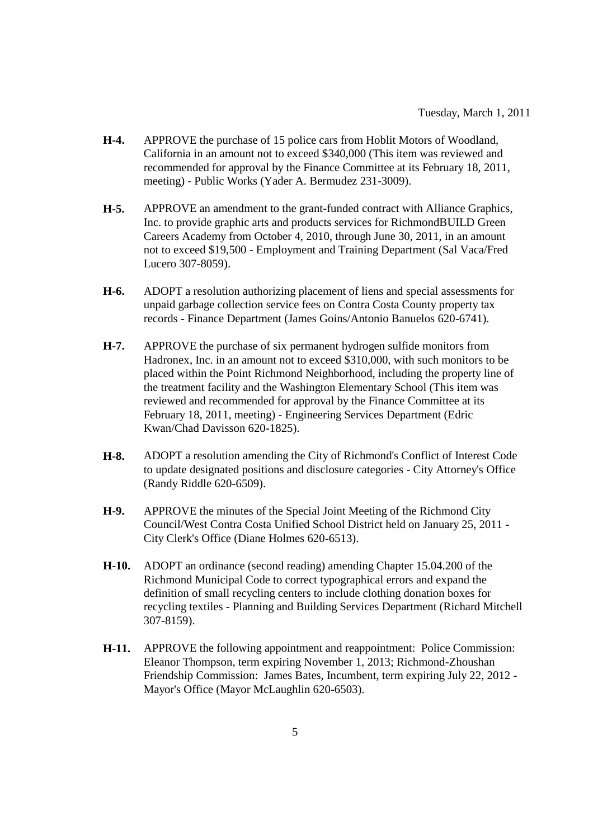- **H-4.** APPROVE the purchase of 15 police cars from Hoblit Motors of Woodland, California in an amount not to exceed \$340,000 (This item was reviewed and recommended for approval by the Finance Committee at its February 18, 2011, meeting) - Public Works (Yader A. Bermudez 231-3009).
- **H-5.** APPROVE an amendment to the grant-funded contract with Alliance Graphics, Inc. to provide graphic arts and products services for RichmondBUILD Green Careers Academy from October 4, 2010, through June 30, 2011, in an amount not to exceed \$19,500 - Employment and Training Department (Sal Vaca/Fred Lucero 307-8059).
- **H-6.** ADOPT a resolution authorizing placement of liens and special assessments for unpaid garbage collection service fees on Contra Costa County property tax records - Finance Department (James Goins/Antonio Banuelos 620-6741).
- **H-7.** APPROVE the purchase of six permanent hydrogen sulfide monitors from Hadronex, Inc. in an amount not to exceed \$310,000, with such monitors to be placed within the Point Richmond Neighborhood, including the property line of the treatment facility and the Washington Elementary School (This item was reviewed and recommended for approval by the Finance Committee at its February 18, 2011, meeting) - Engineering Services Department (Edric Kwan/Chad Davisson 620-1825).
- **H-8.** ADOPT a resolution amending the City of Richmond's Conflict of Interest Code to update designated positions and disclosure categories - City Attorney's Office (Randy Riddle 620-6509).
- **H-9.** APPROVE the minutes of the Special Joint Meeting of the Richmond City Council/West Contra Costa Unified School District held on January 25, 2011 - City Clerk's Office (Diane Holmes 620-6513).
- **H-10.** ADOPT an ordinance (second reading) amending Chapter 15.04.200 of the Richmond Municipal Code to correct typographical errors and expand the definition of small recycling centers to include clothing donation boxes for recycling textiles - Planning and Building Services Department (Richard Mitchell 307-8159).
- **H-11.** APPROVE the following appointment and reappointment: Police Commission: Eleanor Thompson, term expiring November 1, 2013; Richmond-Zhoushan Friendship Commission: James Bates, Incumbent, term expiring July 22, 2012 - Mayor's Office (Mayor McLaughlin 620-6503).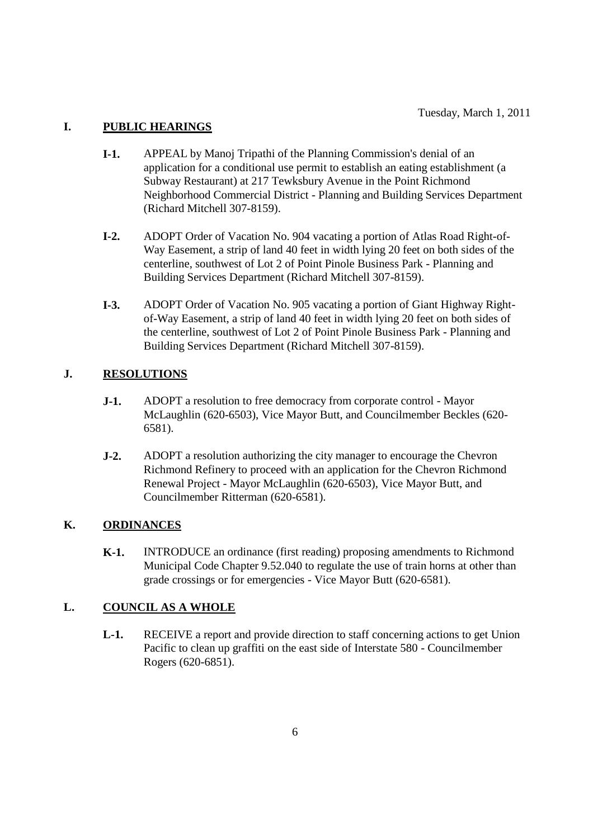# **I. PUBLIC HEARINGS**

- **I-1.** APPEAL by Manoj Tripathi of the Planning Commission's denial of an application for a conditional use permit to establish an eating establishment (a Subway Restaurant) at 217 Tewksbury Avenue in the Point Richmond Neighborhood Commercial District - Planning and Building Services Department (Richard Mitchell 307-8159).
- **I-2.** ADOPT Order of Vacation No. 904 vacating a portion of Atlas Road Right-of-Way Easement, a strip of land 40 feet in width lying 20 feet on both sides of the centerline, southwest of Lot 2 of Point Pinole Business Park - Planning and Building Services Department (Richard Mitchell 307-8159).
- **I-3.** ADOPT Order of Vacation No. 905 vacating a portion of Giant Highway Rightof-Way Easement, a strip of land 40 feet in width lying 20 feet on both sides of the centerline, southwest of Lot 2 of Point Pinole Business Park - Planning and Building Services Department (Richard Mitchell 307-8159).

## **J. RESOLUTIONS**

- **J-1.** ADOPT a resolution to free democracy from corporate control Mayor McLaughlin (620-6503), Vice Mayor Butt, and Councilmember Beckles (620- 6581).
- **J-2.** ADOPT a resolution authorizing the city manager to encourage the Chevron Richmond Refinery to proceed with an application for the Chevron Richmond Renewal Project - Mayor McLaughlin (620-6503), Vice Mayor Butt, and Councilmember Ritterman (620-6581).

#### **K. ORDINANCES**

**K-1.** INTRODUCE an ordinance (first reading) proposing amendments to Richmond Municipal Code Chapter 9.52.040 to regulate the use of train horns at other than grade crossings or for emergencies - Vice Mayor Butt (620-6581).

#### **L. COUNCIL AS A WHOLE**

**L-1.** RECEIVE a report and provide direction to staff concerning actions to get Union Pacific to clean up graffiti on the east side of Interstate 580 - Councilmember Rogers (620-6851).